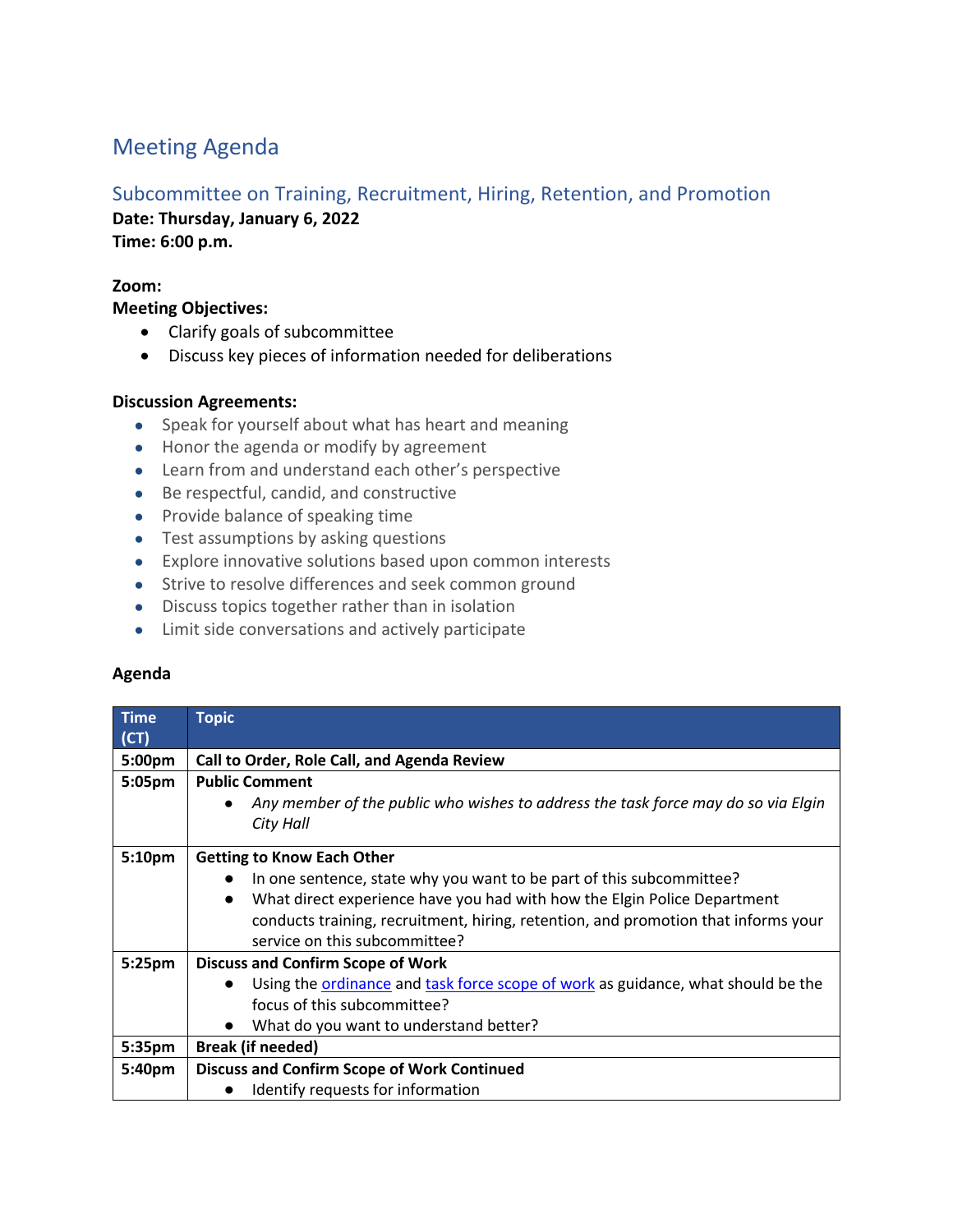# Meeting Agenda

# Subcommittee on Training, Recruitment, Hiring, Retention, and Promotion

**Date: Thursday, January 6, 2022 Time: 6:00 p.m.**

## **Zoom:**

**Meeting Objectives:**

- Clarify goals of subcommittee
- Discuss key pieces of information needed for deliberations

### **Discussion Agreements:**

- Speak for yourself about what has heart and meaning
- Honor the agenda or modify by agreement
- Learn from and understand each other's perspective
- Be respectful, candid, and constructive
- Provide balance of speaking time
- Test assumptions by asking questions
- Explore innovative solutions based upon common interests
- Strive to resolve differences and seek common ground
- Discuss topics together rather than in isolation
- Limit side conversations and actively participate

### **Agenda**

| Time<br>(CT) | <b>Topic</b>                                                                          |
|--------------|---------------------------------------------------------------------------------------|
| 5:00pm       | Call to Order, Role Call, and Agenda Review                                           |
| 5:05pm       | <b>Public Comment</b>                                                                 |
|              | Any member of the public who wishes to address the task force may do so via Elgin     |
|              | City Hall                                                                             |
|              |                                                                                       |
| 5:10pm       | <b>Getting to Know Each Other</b>                                                     |
|              | In one sentence, state why you want to be part of this subcommittee?                  |
|              | What direct experience have you had with how the Elgin Police Department<br>$\bullet$ |
|              | conducts training, recruitment, hiring, retention, and promotion that informs your    |
|              | service on this subcommittee?                                                         |
| 5:25pm       | <b>Discuss and Confirm Scope of Work</b>                                              |
|              | Using the ordinance and task force scope of work as guidance, what should be the      |
|              | focus of this subcommittee?                                                           |
|              | What do you want to understand better?                                                |
| 5:35pm       | <b>Break (if needed)</b>                                                              |
| 5:40pm       | <b>Discuss and Confirm Scope of Work Continued</b>                                    |
|              | Identify requests for information                                                     |